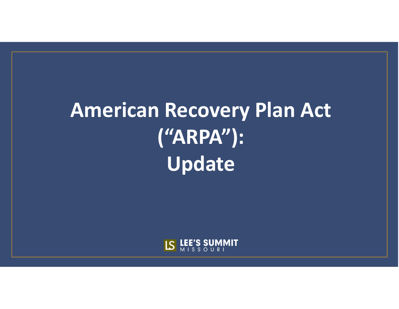# **American Recovery Plan Act ("ARPA"): Update**

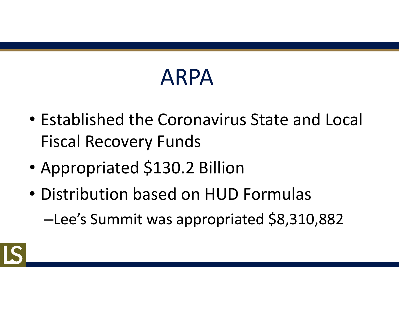# ARPA

- Established the Coronavirus State and Local Fiscal Recovery Funds
- Appropriated \$130.2 Billion
- Distribution based on HUD Formulas –Lee's Summit was appropriated \$8,310,882

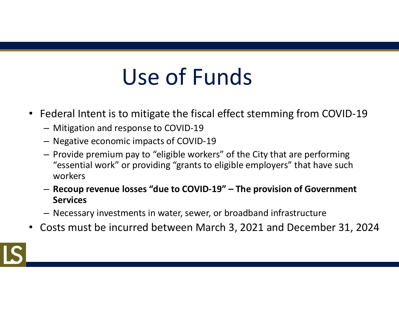# Use of Funds

- Federal Intent is to mitigate the fiscal effect stemming from COVID-19
	- Mitigation and response to COVID-19
	- Negative economic impacts of COVID-19
	- Provide premium pay to "eligible workers" of the City that are performing "essential work" or providing "grants to eligible employers" that have such workers
	- **Recoup revenue losses "due to COVID-19" The provision of Government Services**
	- Necessary investments in water, sewer, or broadband infrastructure
- Costs must be incurred between March 3, 2021 and December 31, 2024

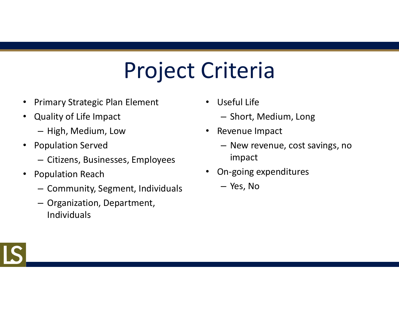# Project Criteria

- Primary Strategic Plan Element
- Quality of Life Impact
	- High, Medium, Low
- Population Served
	- Citizens, Businesses, Employees
- Population Reach
	- Community, Segment, Individuals
	- Organization, Department, Individuals
- Useful Life
	- Short, Medium, Long
- Revenue Impact
	- New revenue, cost savings, no impact
- On-going expenditures
	- Yes, No

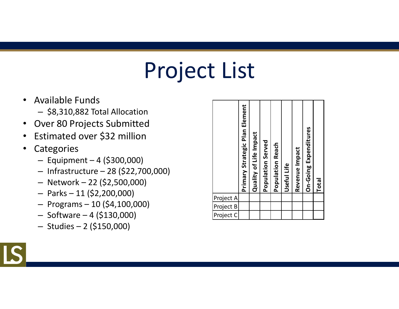# Project List

- Available Funds
	- \$8,310,882 Total Allocation
- Over 80 Projects Submitted
- Estimated over \$32 million
- Categories
	- Equipment 4 (\$300,000)
	- Infrastructure 28 (\$22,700,000)
	- Network 22 (\$2,500,000)
	- $-$  Parks  $-11$  (\$2,200,000)
	- Programs 10 (\$4,100,000)
	- $-$  Software  $-4$  (\$130,000)
	- Studies 2 (\$150,000)

|                                     | Primary Strategic Plan Element | Quality of Life Impact | Population Served | <b>Population Reach</b> | Useful Life | Revenue Impact | On-Going Expenditures | <b>Total</b> |  |
|-------------------------------------|--------------------------------|------------------------|-------------------|-------------------------|-------------|----------------|-----------------------|--------------|--|
|                                     |                                |                        |                   |                         |             |                |                       |              |  |
|                                     |                                |                        |                   |                         |             |                |                       |              |  |
| Project A<br>Project B<br>Project C |                                |                        |                   |                         |             |                |                       |              |  |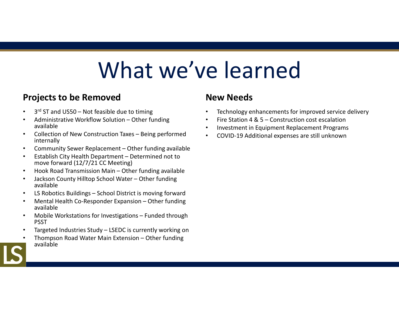## What we've learned

#### **Projects to be Removed**

- 3<sup>rd</sup> ST and US50 Not feasible due to timing
- Administrative Workflow Solution Other funding available
- Collection of New Construction Taxes Being performed internally
- Community Sewer Replacement Other funding available
- Establish City Health Department Determined not to move forward (12/7/21 CC Meeting)
- Hook Road Transmission Main Other funding available
- Jackson County Hilltop School Water Other funding available
- LS Robotics Buildings School District is moving forward
- Mental Health Co-Responder Expansion Other funding available
- Mobile Workstations for Investigations Funded through PSST
- Targeted Industries Study LSEDC is currently working on
- Thompson Road Water Main Extension Other funding available

#### **New Needs**

- Technology enhancements for improved service delivery
- Fire Station 4 & 5 Construction cost escalation
- Investment in Equipment Replacement Programs
- COVID-19 Additional expenses are still unknown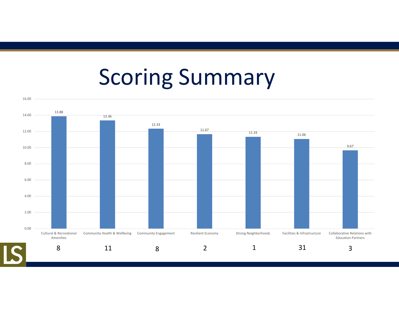### Scoring Summary

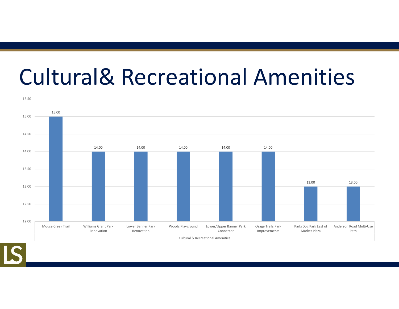## Cultural& Recreational Amenities



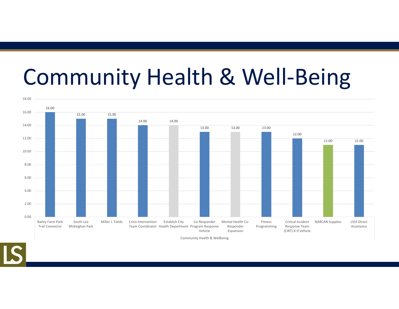# Community Health & Well-Being



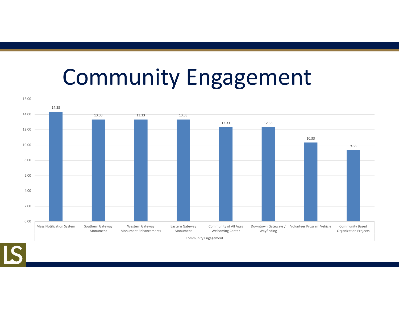#### Community Engagement

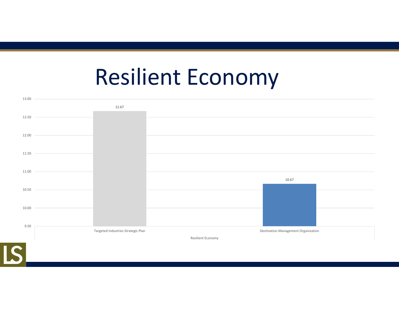#### Resilient Economy

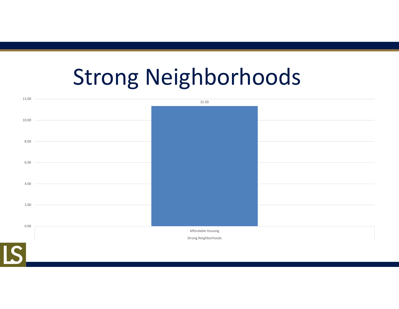## Strong Neighborhoods

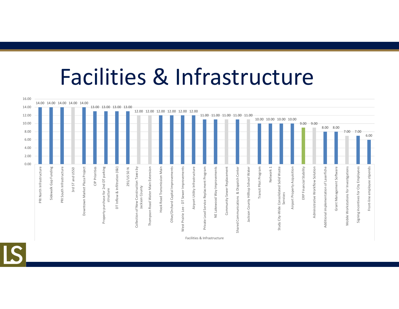#### Facilities & Infrastructure

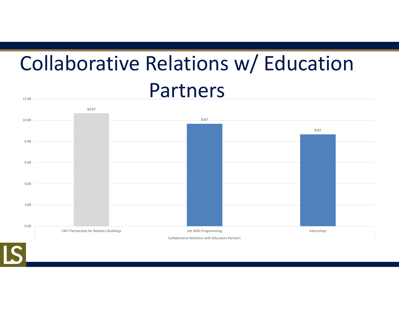#### Collaborative Relations w/ Education Partners 12.00

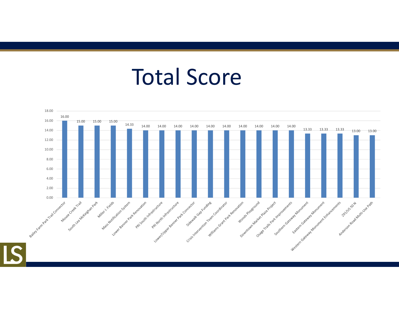#### Total Score